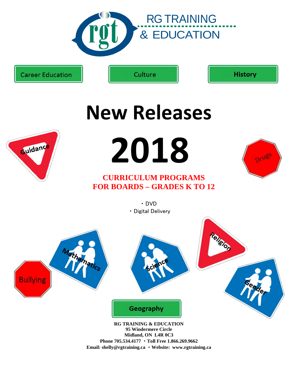

**Career Education** 

Culture

**History** 



# **New Releases**

**2018** 

# **CURRICULUM PROGRAMS FOR BOARDS – GRADES K TO 12**



・ DVD ・ Digital Delivery



**Midland, ON L4R 0C3 Phone 705.534.4177** ・ **Toll Free 1.866.269.9662 Email: shelly@rgtraining.ca** ・ **Website: www.rgtraining.ca**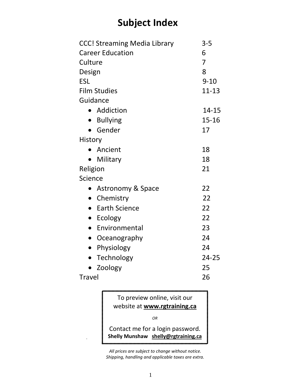# **Subject Index**

| <b>CCC! Streaming Media Library</b> | $3 - 5$        |
|-------------------------------------|----------------|
| <b>Career Education</b>             | 6              |
| Culture                             | $\overline{7}$ |
| Design                              | 8              |
| <b>ESL</b>                          | $9 - 10$       |
| <b>Film Studies</b>                 | $11 - 13$      |
| Guidance                            |                |
| • Addiction                         | $14 - 15$      |
| • Bullying                          | $15 - 16$      |
| Gender                              | 17             |
| History                             |                |
| • Ancient                           | 18             |
| Military                            | 18             |
| Religion                            | 21             |
| Science                             |                |
| Astronomy & Space<br>$\bullet$      | 22             |
| Chemistry<br>$\bullet$              | 22             |
| <b>Earth Science</b><br>$\bullet$   | 22             |
| $\bullet$ Ecology                   | 22             |
| Environmental<br>$\bullet$          | 23             |
| Oceanography<br>$\bullet$           | 24             |
| Physiology<br>$\bullet$             | 24             |
| Technology<br>$\bullet$             | $24 - 25$      |
| Zoology                             | 25             |
| <b>Travel</b>                       | 26             |
|                                     |                |

To preview online, visit our website at **[www.rgtraining.ca](http://www.rgtraining.ca/)**

*OR*

Contact me for a login password. **Shelly Munshaw [shelly@rgtraining.ca](mailto:shelly@rgtraining.ca)** 

.

*All prices are subject to change without notice. Shipping, handling and applicable taxes are extra.*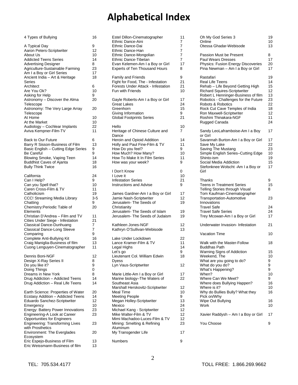# **Alphabetical Index**

| 4 Types of Bullying                                                                                                                                                                                                                                                | 16                                          |
|--------------------------------------------------------------------------------------------------------------------------------------------------------------------------------------------------------------------------------------------------------------------|---------------------------------------------|
| A Typical Day<br>Aaron Peters-Scriptwriter<br>About Us<br><b>Addicted Teens Series</b><br><b>Advertising Designer</b><br>Agriculture-Sustainable Farming<br>Am I a Boy or Girl Series<br>Ancient India - Art & Heritage                                            | 9<br>12<br>10<br>14<br>8<br>23<br>17<br>18  |
| Series<br>Architect<br>Are You Ok?<br>Asking for Help<br>Astronomy - Discover the Alma<br>Telescope                                                                                                                                                                | 6<br>10<br>9<br>20                          |
| Astronomy: The Very Large Array                                                                                                                                                                                                                                    | 20                                          |
| Telescope<br>At Home<br>At the Market<br>Audiology - Cochlear Implants<br>Aviva Kempner-Film-TV                                                                                                                                                                    | 10<br>10<br>22<br>11                        |
| <b>Back to Our Future</b><br>Barry R Sisson-Business of Film<br>Basic English - Cutting Edge Series<br><b>Be Careful</b><br>Blowing Smoke, Vaping Teen<br><b>Buddhist Caves of Ajanta</b><br><b>Bully Think Twice</b>                                              | 6<br>13<br>9<br>9<br>14<br>18<br>16         |
| California<br>Can I Help?<br>Can you Spell that?<br>Caren Cross-Film & TV<br>Catholicism<br>CCC! Streaming Media Library<br>Chatting<br>Chemistry: Periodic Table of                                                                                               | 24<br>9<br>10<br>11<br>19<br>3-5<br>9<br>20 |
| Elements<br>Christian D'Andrea - Film and TV<br>Cities Under Siege - Infestation<br>Classical Dance-Dunhuang<br><b>Classical Dance-Long Sleeve</b><br>Comparing<br>Complete Anti-Bullying Kit<br>Craig Maniglia-Business of film<br>Cuong Lenguyen-Cinematographer | 11<br>21<br>7<br>7<br>9<br>16<br>13<br>11   |
| Dennis Boni-NGF<br>Design X-Ray Series II<br>Do you like it?<br>Doing Things<br>Dreams in New York<br>Drug Addiction - Addicted Teens<br>Drug Addiction - Real Life Teens                                                                                          | 12<br>8<br>9<br>0<br>8<br>14<br>14          |
| Earth Science: Properties of Water<br>Ecstasy Addition - Addicted Teens<br>Eduardo Sanchez-Scriptwriter<br>Emergency<br>Energy: Battery Power Innovations<br>Engineering-A Look at Career                                                                          | 20<br>14<br>12<br>10<br>23<br>23            |
| <b>Opportunities for Engineers</b><br>Engineering: Transforming Lives                                                                                                                                                                                              | 23                                          |
| with Prosthetics<br><b>Environment: The Everglades</b>                                                                                                                                                                                                             | 20                                          |
| Ecosystem<br>Eric Espejo-Business of Film<br>Eric Weissmann-Business of film                                                                                                                                                                                       | 13<br>13                                    |

| Estel Dillon-Cinematographer                                                                                                                                                                                                                                        | 11                                                |
|---------------------------------------------------------------------------------------------------------------------------------------------------------------------------------------------------------------------------------------------------------------------|---------------------------------------------------|
| Ethnic Dance-Aini                                                                                                                                                                                                                                                   | 7                                                 |
| Ethnic Dance-Dai                                                                                                                                                                                                                                                    | 7                                                 |
| Ethnic Dance-Han                                                                                                                                                                                                                                                    | 7                                                 |
| Ethnic Dance-Mongolian                                                                                                                                                                                                                                              | 7                                                 |
| Ethnic Dance-Tibetan                                                                                                                                                                                                                                                | 7                                                 |
| Evan Kelemen-Am I a Boy or Girl                                                                                                                                                                                                                                     | 17                                                |
| Experts of Ten Thousand Hours                                                                                                                                                                                                                                       | 8                                                 |
| <b>Family and Friends</b>                                                                                                                                                                                                                                           | 9                                                 |
| Fight for Food, The - Infestation                                                                                                                                                                                                                                   | 21                                                |
| Forests Under Attack - Infestation                                                                                                                                                                                                                                  | 21                                                |
| Fun with Friends                                                                                                                                                                                                                                                    | 10                                                |
| Gayle Roberts-Am I a Boy or Girl                                                                                                                                                                                                                                    | 17                                                |
| <b>Great Lakes</b>                                                                                                                                                                                                                                                  | 24                                                |
| Greenhorn                                                                                                                                                                                                                                                           | 15                                                |
| Giving Information                                                                                                                                                                                                                                                  | 9                                                 |
| <b>Global Footprints Series</b>                                                                                                                                                                                                                                     | 21                                                |
| Hello<br>Heritage of Chinese Culture and<br>Dance                                                                                                                                                                                                                   | 10<br>7                                           |
| Heroin and Opioid Addition                                                                                                                                                                                                                                          | 14                                                |
| Holly and Paul Fine-Film & TV                                                                                                                                                                                                                                       | 11                                                |
| How Do you feel?                                                                                                                                                                                                                                                    | 9                                                 |
| How Much? How Many?                                                                                                                                                                                                                                                 | 10                                                |
| How To Make It In Film Series                                                                                                                                                                                                                                       | 11                                                |
| How was your week?                                                                                                                                                                                                                                                  | 9                                                 |
| I Don't Know                                                                                                                                                                                                                                                        | 0                                                 |
| I Love it                                                                                                                                                                                                                                                           | 10                                                |
| <b>Infestation Series</b>                                                                                                                                                                                                                                           | 21                                                |
| <b>Instructions and Advise</b>                                                                                                                                                                                                                                      | 9                                                 |
| James Gardner-Am I a Boy or Girl<br>Jamie Nash-Scriptwriter<br>Jerusalem- The Seeds of<br>Christianity                                                                                                                                                              | 17<br>12<br>19                                    |
| Jerusalem- The Seeds of Islam                                                                                                                                                                                                                                       | 19                                                |
| Jerusalem The Seeds of Judaism                                                                                                                                                                                                                                      | 19                                                |
| Kathleen Jones-NGF                                                                                                                                                                                                                                                  | 12                                                |
| Kathryn O'Sullivan-Webisode                                                                                                                                                                                                                                         | 13                                                |
| Lake Under Lockdown<br>Lance Kramer-Film & TV<br>Legal Highs<br>Let's go<br>Lieutenant Col. William Edwin<br>Dyess<br>Lyn Vaus-Scriptwriter                                                                                                                         | 22<br>11<br>14<br>9<br>18<br>12                   |
| Marie Little-Am I a Boy or Girl                                                                                                                                                                                                                                     | 17                                                |
| Marine biology-The Waters of                                                                                                                                                                                                                                        | 22                                                |
| Southeast Asia<br>Marshall Herskovitz-Scriptwriter<br>Meal Time<br><b>Meeting People</b><br>Megan Holley-Scriptwriter<br>Mexico<br>Michael Kang - Scriptwriter<br>Mike Walter-Film & TV<br>Mimi Machadoo-Luces-Film & TV<br>Mining: Smelting & Refining<br>Aluminum | 12<br>10<br>9<br>13<br>24<br>12<br>12<br>12<br>23 |
| My Transgender Life                                                                                                                                                                                                                                                 | 17                                                |
| Numbers                                                                                                                                                                                                                                                             | 9                                                 |

| Oh My God Series 3<br>Online<br>Otessa Ghadar-Webisode                                                                                                                                                                                                                                                                             | 19<br>10<br>13                                                         |
|------------------------------------------------------------------------------------------------------------------------------------------------------------------------------------------------------------------------------------------------------------------------------------------------------------------------------------|------------------------------------------------------------------------|
| Passion Must be Present<br><b>Paul Wears Dresses</b><br>Physics: Fusion Energy Discoveries<br>Pina Newman - Am I a Boy or Girl                                                                                                                                                                                                     | 8<br>17<br>20<br>17                                                    |
| Rastafari<br>Real Life Teens<br>Rehab - Life Beyond Getting High<br><b>Richard Squires-Scriptwriter</b><br>Robert L Henninger-Business of film<br>Robotics - Challenges for the Future<br>Robots & Robotics<br>Rock Cut Cave Temples of India<br>Ron Maxwell-Scriptwriter<br>Roshini Thinakara-NGF<br>Rugged Canada                | 19<br>14<br>15<br>12<br>13<br>23<br>22<br>18<br>12<br>11<br>24         |
| Sandy LeoLaframboise-Am I a Boy<br>or Girl<br>Savannah Burton-Am I a Boy or Girl<br>Save My Lake<br>Saving The Mustang<br>Simple English Series-Cutting Edge<br>Shinto-ism<br>Social Media Addiction<br>Stefonknee Wolscht - Am I a Boy or<br>Girl                                                                                 | 17<br>17<br>22<br>23<br>10<br>19<br>15<br>17                           |
| Thanks<br><b>Teens in Treatment Series</b><br>Telling Stories through Visual<br>Tom Kaufman-Cinematographer<br><b>Transportation-Automotive</b><br>Innovations<br><b>Travel Safe</b><br><b>Travel Safe Series</b><br>Trey Mcowan-Am I a Boy or Girl                                                                                | 9<br>15<br>8<br>23<br>24<br>24<br>17                                   |
| Underwater Invasion- Infestation                                                                                                                                                                                                                                                                                                   | 21                                                                     |
| <b>Vacation Time</b>                                                                                                                                                                                                                                                                                                               | 10                                                                     |
| Walk with the Master-Follow<br><b>Buddhas Path</b><br>Warning Signs of Addiction<br>Weekend, The<br>What are you going to do?<br>What do you do?<br>What's Happening?<br>When?<br>Where Can We Meet?<br>Where does Bullying Happen?<br>Where is it?<br>Why do Bullies Bully? What they<br>Pick on/Why<br>Wipe Out Bullying<br>Work | 18<br>15<br>10<br>9<br>9<br>9<br>10<br>9<br>16<br>10<br>16<br>16<br>10 |
| Xavier Raddysh - Am I a Boy or Girl                                                                                                                                                                                                                                                                                                | 17                                                                     |
| You Choose                                                                                                                                                                                                                                                                                                                         | 9                                                                      |
|                                                                                                                                                                                                                                                                                                                                    |                                                                        |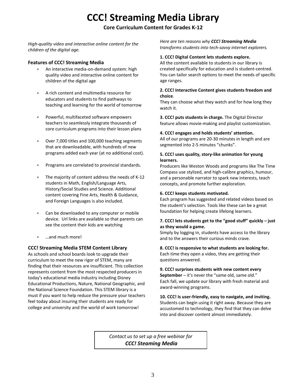# **CCC! Streaming Media Library**

### **Core Curriculum Content for Grades K-12**

*High-quality video and interactive online content for the children of the digital age.*

### **Features of CCC! Streaming Media**

- An interactive media-on-demand system: high quality video and interactive online content for children of the digital age
- A rich content and multimedia resource for educators and students to find pathways to teaching and learning for the world of tomorrow
- Powerful, multifaceted software empowers teachers to seamlessly integrate thousands of core curriculum programs into their lesson plans
- Over 7,000 titles and 100,000 teaching segments that are downloadable, with hundreds of new programs added each year (at no additional cost).
- Programs are correlated to provincial standards.
- The majority of content address the needs of K-12 students in Math, English/Language Arts, History/Social Studies and Science. Additional content covering Fine Arts, Health & Guidance, and Foreign Languages is also included.
- Can be downloaded to any computer or mobile device. Url links are available so that parents can see the content their kids are watching
- …and much more!

### **CCC! Streaming Media STEM Content Library**

As schools and school boards look to upgrade their curriculum to meet the new rigor of STEM, many are finding that their resources are insufficient. This collection represents content from the most respected producers in today's educational media industry including Disney Educational Productions, Nature, National Geographic, and the National Science Foundation. This STEM library is a must if you want to help reduce the pressure your teachers feel today about insuring their students are ready for college and university and the world of work tomorrow!

*Here are ten reasons why CCC! Streaming Media transforms students into tech-savvy internet explorers.*

### **1. CCC! Digital Content lets students explore.**

All the content available to students in our library is created specifically for education and is student-centred. You can tailor search options to meet the needs of specific age ranges.

### **2. CCC! Interactive Content gives students freedom and choice**.

They can choose what they watch and for how long they watch it.

**3. CCC! puts students in charge.** The Digital Director feature allows movie-making and playlist customization.

### **4. CCC! engages and holds students' attention.**

All of our programs are 20-30 minutes in length and are segmented into 2-5 minutes "chunks".

### **5. CCC! uses quality, story-like animation for young learners.**

Producers like Weston Woods and programs like The Time Compass use stylized, and high-calibre graphics, humour, and a personable narrator to spark new interests, teach concepts, and promote further exploration.

### **6. CCC! keeps students motivated.**

Each program has suggested and related videos based on the student's selection. Tools like these can be a great foundation for helping create lifelong learners.

### **7. CCC! lets students get to the "good stuff" quickly – just as they would a game.**

Simply by logging in, students have access to the library and to the answers their curious minds crave.

**8. CCC! is responsive to what students are looking for.** Each time they open a video, they are getting their questions answered.

**9. CCC! surprises students with new content every September** – it's never the "same old, same old." Each fall, we update our library with fresh material and award-winning programs.

**10. CCC! Is user-friendly, easy to navigate, and inviting.** Students can begin using it right away. Because they are accustomed to technology, they find that they can delve into and discover content almost immediately.

*Contact us to set up a free webinar for CCC! Steaming Media*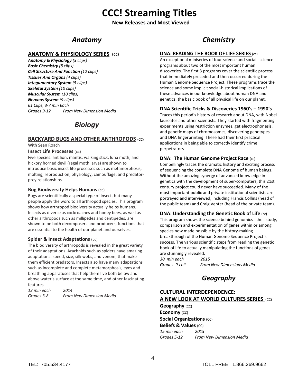# **CCC! Streaming Titles**

**New Releases and Most Viewed**

### *Anatomy*

### **ANATOMY & PHYSIOLOGY SERIES** (cc)

*Anatomy & Physiology (3 clips) Basic Chemistry (8 clips) Cell Structure And Function (12 clips) Tissues And Organs (4 clips) Integumentary System (5 clips) Skeletal System (10 clips) Muscular System (10 clips) Nervous System (9 clips) 61 Clips, 3-7 min Each Grades 9-12 From New Dimension Media*

### *Biology*

### **BACKYARD BUGS AND OTHER ANTHROPODS** (CC)

With Sean Roach

### **Insect Life Processes** (cc)

Five species: ant lion, mantis, walking stick, luna moth, and hickory horned devil (regal moth larva) are shown to introduce basic insect life processes such as metamorphosis, molting, reproduction, physiology, camouflage, and predatorprey relationships.

### **Bug Biodiversity Helps Humans** (cc)

Bugs are scientifically a special type of insect, but many people apply the word to all arthropod species. This program shows how arthropod biodiversity actually helps humans. Insects as diverse as cockroaches and honey bees, as well as other arthropods such as millipedes and centipedes, are shown to be both decomposers and producers, functions that are essential to the health of our planet and ourselves.

### **Spider & Insect Adaptations** (cc)

The biodiversity of arthropods is revealed in the great variety of their adaptations. Arachnids such as spiders have amazing adaptations: speed, size, silk webs, and venom, that make them efficient predators. Insects also have many adaptations such as incomplete and complete metamorphosis, eyes and breathing apparatuses that help them live both below and above water's surface at the same time, and other fascinating features.

| 13 min each | 2014                            |
|-------------|---------------------------------|
| Grades 3-8  | <b>From New Dimension Media</b> |

# *Chemistry*

### **DNA: READING THE BOOK OF LIFE SERIES** (cc)

An exceptional miniseries of four science and social science programs about two of the most important human discoveries. The first 3 programs cover the scientific process that immediately preceded and then occurred during the Human Genome Sequence Project. These programs trace the science and some implicit social-historical implications of these advances in our knowledge about human DNA and genetics, the basic book of all physical life on our planet.

### **DNA Scientific Tricks & Discoveries 1960's – 1990's**

Traces this period's history of research about DNA, with Nobel laureates and other scientists. They started with fragmenting experiments using restriction enzymes, get electrophonesis, and genetic maps of chromosomes, discovering genotypes and DNA fingerprinting. These had their first practical applications in being able to correctly identify crime perpetrators

### **DNA: The Human Genome Project Race (cc)**

Compellingly traces the dramatic history and exciting process of sequencing the complete DNA Genome of human beings. Without the amazing synergy of advanced knowledge in genetics with the development of super-computers, this 21st century project could never have succeeded. Many of the most important public and private institutional scientists are portrayed and interviewed, including Francis Collins (head of the public team) and Craig Venter (head of the private team).

### **DNA: Understanding the Genetic Book of Life (cc)**

This program shows the science behind genomics - the study, comparison and experimentation of genes within or among species now made possible by the history-making breakthrough of the Human Genome Sequence Project`s success. The various scientific steps from reading the genetic book of life to actually manipulating the functions of genes are stunningly revealed.

| 30  min each  | 2015                             |
|---------------|----------------------------------|
| Grades 9-coll | <b>From New Dimensions Media</b> |

### *Geography*

### **CULTURAL INTERDEPENDENCE: A NEW LOOK AT WORLD CULTURES SERIES** (CC) **Geography** (CC)

**Economy** (CC) **Social Organizations** (CC) **Beliefs & Values (CC)** *15 min each 2013 Grades 5-12 From New Dimension Media*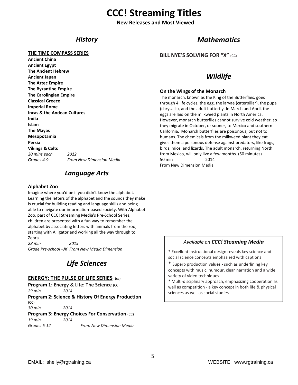# **CCC! Streaming Titles**

**New Releases and Most Viewed**

### *History*

### **THE TIME COMPASS SERIES**

**Ancient China Ancient Egypt The Ancient Hebrew Ancient Japan The Aztec Empire The Byzantine Empire The Carolingian Empire Classical Greece Imperial Rome Incas & the Andean Cultures India Islam The Mayas Mesopotamia Persia Vikings & Celts**  *20 mins each 2012 Grades 4-9 From New Dimension Media* 

### *Language Arts*

#### **Alphabet Zoo**

Imagine where you'd be if you didn't know the alphabet. Learning the letters of the alphabet and the sounds they make is crucial for building reading and language skills and being able to navigate our information-based society. With Alphabet Zoo, part of CCC! Streaming Media's Pre-School Series, children are presented with a fun way to remember the alphabet by associating letters with animals from the zoo, starting with Alligator and working all the way through to Zebra.

*28 min 2015 Grade Pre-school –JK From New Media Dimension*

### *Life Sciences*

### **ENERGY: THE PULSE OF LIFE SERIES** (cc)

**Program 1: Energy & Life: The Science** (CC)

*29 min 2014* **Program 2: Science & History Of Energy Production** (CC)

*30 min 2014*

### **Program 3: Energy Choices For Conservation** (CC)

*19 min 2014 Grades 6-12 From New Dimension Media*

### *Mathematics*

**BILL NYE'S SOLVING FOR "X"** (CC)

### *Wildlife*

### **On the Wings of the Monarch**

The monarch, known as the King of the Butterflies, goes through 4 life cycles, the egg, the larvae (caterpillar), the pupa (chrysalis), and the adult butterfly. In March and April, the eggs are laid on the milkweed plants in North America. However, monarch butterflies cannot survive cold weather, so they migrate in October, or sooner, to Mexico and southern California. Monarch butterflies are poisonous, but not to humans. The chemicals from the milkweed plant they eat gives them a poisonous defense against predators, like frogs, birds, mice, and lizards. The adult monarch, returning North from Mexico, will only live a few months. (50 minutes) 50 min 2014 From New Dimension Media

### *Available on CCC! Steaming Media*

\* Excellent instructional design reveals key science and social science concepts emphasized with captions

\* Superb production values - such as underlining key concepts with music, humour, clear narration and a wide variety of video techniques

\* Multi-disciplinary approach, emphasizing cooperation as well as competition - a key concept in both life & physical sciences as well as social studies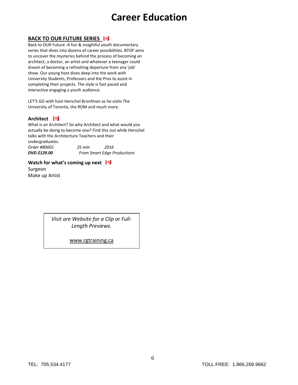# **Career Education**

### **BACK TO OUR FUTURE SERIES**

Back to OUR Future -A fun & insightful youth documentary series that dives into dozens of career possibilities. BTOF aims to uncover the mysteries behind the process of becoming an architect, a doctor, an artist-and whatever a teenager could dream of becoming-a refreshing departure from any 'job' show. Our young host dives deep into the work with University Students, Professors and the Pros to assist in completing their projects. The style is fast paced and interactive engaging a youth audience.

LET'S GO with host Herschel Bronfman as he visits The University of Toronto, the ROM and much more.

### **Architect Fig.**

What is an Architect? So why Architect and what would you actually be doing to become one? Find this out while Herschel talks with the Architecture Teachers and their undergraduates.

| Order #80001        | 25 min | 2016                               |
|---------------------|--------|------------------------------------|
| <b>DVD \$129.00</b> |        | <b>From Smart Edge Productions</b> |

### **Watch for what's coming up next I** Surgeon Make up Artist

*Visit are Website for a Clip or Full-Length Previews.*

[www.rgtraining.ca](http://www.rgtraining.ca/)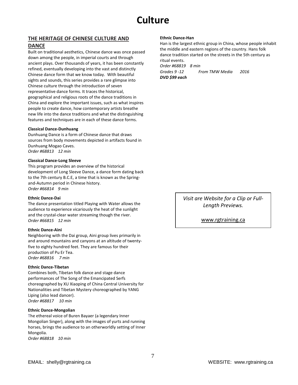# **Culture**

### **THE HERITAGE OF CHINESE CULTURE AND**

### **DANCE**

Built on traditional aesthetics, Chinese dance was once passed down among the people, in imperial courts and through ancient plays. Over thousands of years, it has been constantly refined, eventually developing into the vast and distinctly Chinese dance form that we know today. With beautiful sights and sounds, this series provides a rare glimpse into Chinese culture through the introduction of seven representative dance forms. It traces the historical, geographical and religious roots of the dance traditions in China and explore the important issues, such as what inspires people to create dance, how contemporary artists breathe new life into the dance traditions and what the distinguishing features and techniques are in each of these dance forms.

#### **Classical Dance-Dunhuang**

Dunhuang Dance is a form of Chinese dance that draws sources from body movements depicted in artifacts found in Dunhuang Mogao Caves. *Order #68813 12 min*

#### **Classical Dance-Long Sleeve**

This program provides an overview of the historical development of Long Sleeve Dance, a dance form dating back to the 7th century B.C.E, a time that is known as the Springand-Autumn period in Chinese history. *Order #66814 9 min*

#### **Ethnic Dance-Dai**

The dance presentation titled Playing with Water allows the audience to experience vicariously the heat of the sunlight and the crystal-clear water streaming though the river. *Order #66815 12 min*

#### **Ethnic Dance-Aini**

Neighboring with the Dai group, Aini group lives primarily in and around mountains and canyons at an altitude of twentyfive to eighty hundred feet. They are famous for their production of Pu Er Tea.

*Order #68816 7 min* 

#### **Ethnic Dance-Tibetan**

Combines both, Tibetan folk dance and stage dance performances of The Song of the Emancipated Serfs choreographed by XU Xiaoping of China Central University for Nationalities and Tibetan Mystery choreographed by YANG Liping (also lead dancer). *Order #68817 10 min*

#### **Ethnic Dance-Mongolian**

The ethereal voice of Buren Bayaer (a legendary Inner Mongolian Singer), along with the images of yurts and running horses, brings the audience to an otherworldly setting of Inner Mongolia.

*Order #68818 10 min*

### **Ethnic Dance-Han**

Han is the largest ethnic group in China, whose people inhabit the middle and eastern regions of the country. Hans folk dance tradition started on the streets in the 5th century as ritual events.

*Order #68819 8 min*

*Grades 9 -12 From TMW Media 2016 DVD \$99 each*

> *Visit are Website for a Clip or Full-Length Previews.*

> > [www.rgtraining.ca](http://www.rgtraining.ca/)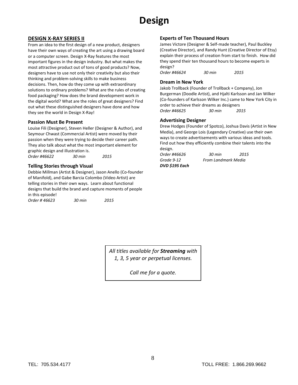# **Design**

### **DESIGN X-RAY SERIES II**

From an idea to the first design of a new product, designers have their own ways of creating the art using a drawing board or a computer screen. Design X-Ray features the most important figures in the design industry. But what makes the most attractive product out of tons of good products? Now, designers have to use not only their creativity but also their thinking and problem-solving skills to make business decisions. Then, how do they come up with extraordinary solutions to ordinary problems? What are the rules of creating food packaging? How does the brand development work in the digital world? What are the roles of great designers? Find out what these distinguished designers have done and how they see the world in Design X-Ray!

### **Passion Must Be Present**

Louise Fili (Designer), Steven Heller (Designer & Author), and Seymour Chwast (Commercial Artist) were moved by their passion when they were trying to decide their career path. They also talk about what the most important element for graphic design and illustration is. *Order #46622 30 min 2015*

### **Telling Stories through Visual**

Debbie Millman (Artist & Designer), Jason Anello (Co-founder of Manifold), and Gabe Barcia Colombo (Video Artist) are telling stories in their own ways. Learn about functional designs that build the brand and capture moments of people in this episode!

*Order # 46623 30 min 2015*

### **Experts of Ten Thousand Hours**

James Victore (Designer & Self-made teacher), Paul Buckley (Creative Director), and Randy Hunt (Creative Director of Etsy) explain their process of creation from start to finish. How did they spend their ten thousand hours to become experts in design?

*Order #46624 30 min 2015*

### **Dream in New York**

Jakob Trollback (Founder of Trollback + Company), Jon Burgerman (Doodle Artist), and Hjalti Karlsson and Jan Wilker (Co-founders of Karlsson Wilker Inc.) came to New York City in order to achieve their dreams as designers *Order #46625 30 min 2015*

### **Advertising Designer**

Drew Hodges (Founder of Spotco), Joshua Davis (Artist in New Media), and George Lois (Legendary Creative) use their own ways to create advertisements with various ideas and tools. Find out how they efficiently combine their talents into the design.

*Order #46626 30 min 2015 Grade 9-12 From Landmark Media DVD \$195 Each*

*All titles available for Streaming with 1, 3, 5 year or perpetual licenses.*

*Call me for a quote.*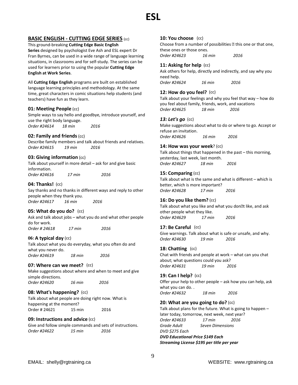### **BASIC ENGLISH - CUTTING EDGE SERIES** (cc)

This ground-breaking **Cutting Edge Basic English Series** designed by psychologist Eve Ash and ESL expert Dr Fran Byrnes, can be used in a wide range of language learning situations, in classrooms and for self-study. The series can be used for learners prior to using the popular **Cutting Edge English at Work Series**.

All **Cutting Edge English** programs are built on established language learning principles and methodology. At the same time, great characters in comic situations help students (and teachers) have fun as they learn.

### **01: Meeting People** (cc)

Simple ways to say hello and goodbye, introduce yourself, and use the right body language. *Order #24614 18 min 2016*

### **02: Family and friends**(cc)

Describe family members and talk about friends and relatives. *Order #24615 19 min 2016*

### **03: Giving information** (cc)

Talk about yourself in more detail – ask for and give basic information. *Order #24616 17 min 2016*

### **04: Thanks!** (cc)

Say thanks and no thanks in different ways and reply to other people when they thank you. *Order #24617 16 min 2016*

### **05: What do you do?** (cc)

Ask and talk about jobs – what you do and what other people do for work. *Order # 24618 17 min 2016*

### **06: A typical day** (cc)

Talk about what you do everyday, what you often do and what you never do. *Order #24619 18 min 2016*

#### **07: Where can we meet?** (cc)

Make suggestions about where and when to meet and give simple directions. *Order #24620 16 min 2016*

### **08: What's happening?** (cc)

Talk about what people are doing right now. What is happening at the moment? Order # 24621 15 min 2016

### **09: Instructions and advice** (cc)

Give and follow simple commands and sets of instructions. *Order #24622 15 min 2016*

### **10: You choose** (cc)

Choose from a number of possibilities  $\mathbb B$  this one or that one, these ones or those ones.

*Order #24623 16 min 2016*

### **11: Asking for help** (cc)

Ask others for help, directly and indirectly, and say why you need help.

*Order #24624 16 min 2016*

### **12: How do you feel?** (cc)

Talk about your feelings and why you feel that way – how do you feel about family, friends, work, and vacations *Order #24625 18 min 2016*

### *13: Let's go* (cc)

Make suggestions about what to do or where to go. Accept or refuse an invitation.

*Order #24626 16 min 2016*

#### **14: How was your week**? (cc)

Talk about things that happened in the past – this morning, yesterday, last week, last month. *Order #24627 18 min 2016*

### **15: Comparing** (cc)

Talk about what is the same and what is different – which is better, which is more important? *Order #24628 17 min 2016*

### **16: Do you like them?** (cc)

Talk about what you like and what you don<sup>ol</sup> like, and ask other people what they like. *Order #24629 17 min 2016*

### **17: Be Careful** (cc)

Give warnings. Talk about what is safe or unsafe, and why. *Order #24630 19 min 2016*

### **18: Chatting** (cc)

Chat with friends and people at work – what can you chat about; what questions could you ask? *Order #24631 19 min 2016*

#### **19: Can I help?** (cc)

Offer your help to other people – ask how you can help, ask what you can do. . *Order #24632 18 min 2016*

**20: What are you going to do?** (cc) Talk about plans for the future. What is going to happen – later today, tomorrow, next week, next year? *Order #24633 17 min 2016 Grade Adult Seven Dimensions DVD \$275 Each DVD Educational Price \$149 Each Streaming License \$195 per title per year*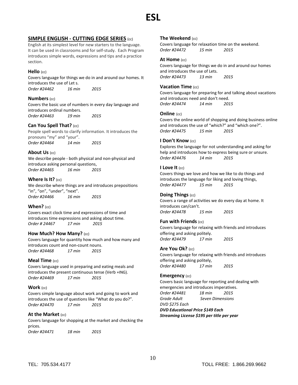# **ESL**

### **SIMPLE ENGLISH - CUTTING EDGE SERIES** (cc)

English at its simplest level for new starters to the language. It can be used in classrooms and for self-study. Each Program introduces simple words, expressions and tips and a practice section.

### **Hello** (cc)

Covers language for things we do in and around our homes. It introduces the use of Let s.

*Order #24462 16 min 2015* 

**Numbers** (cc) Covers the basic use of numbers in every day language and introduces ordinal numbers. *Order #24463 19 min 2015* 

### **Can You Spell That?** (cc)

People spell words to clarify information. It introduces the pronouns "my" and "your". *Order #24464 14 min 2015* 

### **About Us** (cc)

We describe people - both physical and non-physical and introduce asking personal questions, *Order #24465 16 min 2015* 

### **Where Is It?** (cc)

We describe where things are and introduces prepositions "in", "on", "under", "next". *Order #24466 16 min 2015* 

### **When?** (cc)

Covers exact clock time and expressions of time and introduces time expressions and asking about time. *Order # 24467 17 min 2015*

### **How Much? How Many?** (cc)

Covers language for quantity how much and how many and introduces count and non-count nouns. *Order #24468 17 min 2015* 

### **Meal Time** (cc)

Covers language used in preparing and eating meals and introduces the present continuous tense (Verb +ING). *Order #24469 17 min 2015* 

### **Work** (cc)

Covers simple language about work and going to work and introduces the use of questions like "What do you do?". *Order #24470 17 min 2015* 

### **At the Market** (cc)

Covers language for shopping at the market and checking the prices.

*Order #24471 18 min 2015* 

### **The Weekend** (cc)

Covers language for relaxation time on the weekend. *Order #24472 15 min 2015* 

### **At Home** (cc)

Covers language for things we do in and around our homes and introduces the use of Lets. *Order #24473 13 min 2015* 

### **Vacation Time** (cc)

Covers language for preparing for and talking about vacations and introduces need and don't need. *Order #24474 14 min 2015* 

### **Online** (cc)

Covers the online world of shopping and doing business online and introduces the use of "which?" and "which one?". *Order #24475 15 min 2015* 

### **I Don't Know** (cc)

Explores the language for not understanding and asking for help and introduces how to express being sure or unsure. *Order #24476 14 min 2015* 

### **I Love It** (cc)

Covers things we love and how we like to do things and introduces the language for liking and loving things, *Order #24477 15 min 2015* 

### **Doing Things** (cc)

Covers a range of activities we do every day at home. It introduces can/can't. *Order #24478 15 min 2015* 

### **Fun with Friends** (cc)

Covers language for relaxing with friends and introduces offering and asking politely. *Order #24479 17 min 2015* 

### **Are You Ok?** (cc)

Covers language for relaxing with friends and introduces offering and asking politely, *Order #24480 17 min 2015* 

### **Emergency** (cc)

Covers basic language for reporting and dealing with emergencies and introduces imperatives. *Order #24481 18 min 2015 Grade Adult Seven Dimensions DVD \$275 Each DVD Educational Price \$149 Each* 

*Streaming License \$195 per title per year*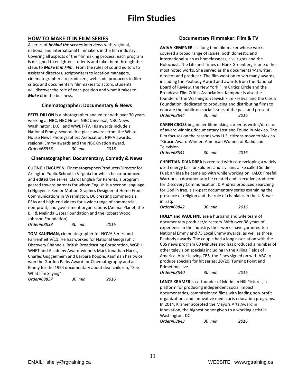# **Film Studies**

### **HOW TO MAKE IT IN FILM SERIES**

A series of *behind the scenes* interviews with regional, national and international filmmakers in the film industry. Covering all aspects of the filmmaking process, each program is designed to enlighten students and take them through the steps to *Make It in Film*. From the roles of sound editors to assistant directors, scriptwriters to location managers, cinematographers to producers, webisode producers to film critics and documentary filmmakers to actors, students will discover the role of each position and what it takes to *Make It* in the business.

### **Cinematographer: Documentary & News**

**ESTEL DILLON** is a photographer and editor with over 30 years working at NBC, NBC News, NBC Universal, NBC News Washington, D.C., and WWBT-TV. His awards include a National Emmy, several first place awards from the White House News Photographers Association, NPPA awards, regional Emmy awards and the NBC Ovation award. *Order#68836 30 min 2016*

### **Cinematographer: Documentary, Comedy & News**

**CUONG LENGUYEN**, Cinematographer/Producer/Director for Arlington Public School in Virginia for which he co-produced and edited the series, Claro! English for Parents, a program geared toward parents for whom English is a second language. LeNguyen is Senior Motion Graphics Designer at Home Front Communications in Washington, DC creating commercials, PSAs and high-end videos for a wide range of commercial, non-profit, and government organizations (Animal Planet, the Bill & Melinda Gates Foundation and the Robert Wood Johnson Foundation).

*Order#68838 30 min 2016*

**TOM KAUFMAN,** cinematographer for NOVA Series and Fahrenheit 9/11. He has worked for National Geographic, Discovery Channels, British Broadcasting Corporation, WGBH, WNET and Academy Award-winners Mark Jonathan Harris, Charles Guggenheim and Barbara Kopple. Kaufman has twice won the Gordon Parks Award for Cinematography and an Emmy for the 1994 documentary about deaf children, "See What I"m Saying".

*Order#68837 30 min 2016*

### **Documentary Filmmaker: Film & TV**

**AVIVA KEMPNER** is a long time filmmaker whose works covered a broad range of issues, both domestic and international such as homelessness, civil rights and the Holocaust. The Life and Times of Hank Greenberg is one of her most noted works. She served as the documentary's writer, director and producer. The film went on to win many awards, including the Peabody Award and awards from the National Board of Review, the New York Film Critics Circle and the Broadcast Film Critics Association. Kempner is also the founder of the Washington Jewish Film Festival and the Ciesla Foundation, dedicated to producing and distributing films to educate the public on social issues of the past and present. *Order#68844 30 min 2016*

**CAREN CROSS** began her filmmaking career as writer/director of award winning documentary Lost and Found in Mexico. The film focuses on the reasons why U.S. citizens move to Mexico. \*Gracie Award Winner, American Women of Radio and Television.

*Order#68841 30 min 2016*

**CHRISTIAN D'ANDREA** is credited with co-developing a widely used energy bar for soldiers and civilians alike called Soldier Fuel; an idea he came up with while working on HALO: Freefall Warriors, a documentary he created and executive produced for Discovery Communication. D'Andrea produced Searching for God in Iraq, a six-part documentary series examining the presence of religion and the role of chaplains in the U.S. war in Iraq.

*Order#68842 30 min 2016*

**HOLLY and PAUL FINE** are a husband and wife team of documentary producer/directors. With over 38 years of experience in the industry, their works have garnered ten National Emmy and 75 Local Emmy awards, as well as three Peabody awards. The couple had a long association with the CBS news program 60 Minutes and has produced a number of other television specials including In the Killing Fields of America. After leaving CBS, the Fines signed on with ABC to produce specials for hit series: 20/20, Turning Point and Primetime Live.

*Order#68840 30 min 2016*

**LANCE KRAMER** is co-founder of Meridian Hill Pictures, a platform for producing independent social impact documentaries, commissioned films with leading non-profit organizations and innovative media arts education programs. In 2014, Kramer accepted the Mayors Arts Award in Innovation, the highest honor given to a working artist in Washington, DC

*Order#68843 30 min 2016*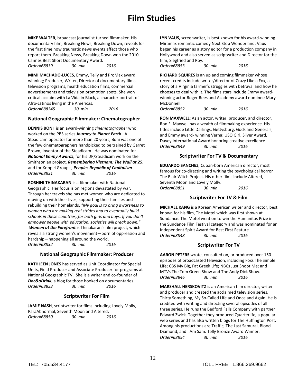# **Film Studies**

**MIKE WALTER**, broadcast journalist turned filmmaker. His documentary film, Breaking News, Breaking Down, reveals for the first time how traumatic news events affect those who report them. Breaking News, Breaking Down won the 2010 Cannes Best Short Documentary Award. *Order#68839 30 min 2016*

**MIMI MACHADO-LUCES**, Emmy, Telly and ProMax award winning; Producer, Writer, Director of documentary films, television programs, health education films, commercial advertisements and television promotion spots. She won critical acclaim with La Vida in Black, a character portrait of Afro-Latinos living in the Americas. *Order#688345 30 min 2016*

### **National Geographic Filmmaker: Cinematographer**

**DENNIS BONI** is an award-winning *cinematographer* who worked on the PBS series *Journey to Planet Earth*. A Steadicam operator for more than 20 years, Boni was one of the few cinematographers handpicked to be trained by Garret Brown, inventor of the Steadicam. He was nominated for *National Emmy Awards*, for his DP/Steadicam work on the Smithsonian project, *Remembering Vietnam: The Wall at 25*, and for Koppel Group's, *Peoples Republic of Capitalism*. *Order#68831 30 min 2016*

**ROSHINI THINAKARAN** is a filmmaker with National Geographic. Her focus is on regions devastated by war. Through her travels she has met women who are dedicated to moving on with their lives, supporting their families and rebuilding their homelands. *"My goal is to bring awareness to women who are making real strides and to eventually build schools in these countries, for both girls and boys. If you don't empower people with education, societies will break down."* 

*Women at the Forefront* is Thinakaran's film project, which reveals a strong women's movement—born of oppression and hardship—happening all around the world. *Order#68832 30 min 2016*

### **National Geographic Filmmaker: Producer**

**KATHLEEN JONES** has served as Unit Coordinator for Special Units, Field Producer and Associate Producer for programs at National Geographic TV. She is a writer and co-founder of *Doc&aDrink*, a blog for those hooked on documentaries. *Order#68833 30 min 2016* 

### **Scriptwriter For Film**

**JAMIE NASH**, scriptwriter for films including Lovely Molly, ParaAbnormal, Seventh Moon and Altered. *Order#68850 30 min 2016*

**LYN VAUS,** screenwriter, is best known for his award-winning Miramax romantic comedy Next Stop Wonderland. Vaus began his career as a story editor for a production company in Hollywood and also served as scriptwriter and Director for the film, Siegfried and Roy. *Order#68853 30 min 2016*

**RICHARD SQUIRES** is an up and coming filmmaker whose recent credits include writer/director of Crazy Like a Fox, a story of a Virginia farmer's struggles with betrayal and how he chooses to deal with it. The films stars include Emmy awardwinning actor Roger Rees and Academy award nominee Mary McDonnell.

*Order#68852 30 min 2016*

**RON MAXWELL:** As an actor, writer, producer, and director, Ron F. Maxwell has a wealth of filmmaking experience. His titles include Little Darlings, Gettysburg, Gods and Generals, and Emmy award- winning Verna: USO Girl. Silver Award, Davey International Award honoring creative excellence. *Order#68849 30 min 2016*

### **Scriptwriter For TV & Documentary**

**EDUARDO SANCHEZ**, Cuban-born American director, most famous for co-directing and writing the psychological horror The Blair Witch Project. His other films include Altered, Seventh Moon and Lovely Molly. *Order#68851 30 min 2016*

### **Scriptwriter For TV & Film**

**MICHAEL KANG** is a Korean American writer and director, best known for his film, The Motel which was first shown at Sundance. The Motel went on to win the Humanitas Prize in the Sundance Film Festival category and was nominated for an Independent Spirit Award for Best First Feature. *Order#68848 30 min 2016*

### **Scriptwriter For TV**

**AARON PETERS** wrote, consulted on, or produced over 150 episodes of broadcasted television, including Foxs The Simple Life; CBS My Big, Fat Greek Life; NBCs Just Shoot Me; and MTVs The Tom Green Show and The Andy Dick Show. *Order#68846 30 min 2016*

**MARSHALL HERSKOVITZ** is an American film director, writer and producer and created the acclaimed television series, Thirty Something, My So-Called Life and Once and Again. He is credited with writing and directing several episodes of all three series. He runs the Bedford Falls Company with partner Edward Zwick. Together they produced Quarterlife, a popular web series and has also written blogs for The Huffington Post. Among his productions are Traffic, The Last Samurai, Blood Diamond, and I Am Sam. Telly Bronze Award Winner. *Order#68854 30 min 2016*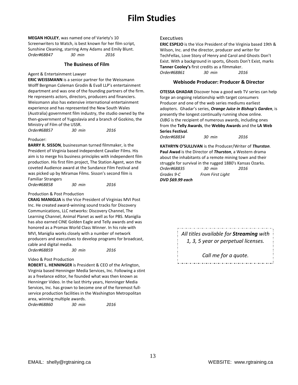# **Film Studies**

**MEGAN HOLLEY**, was named one of Variety's 10 Screenwriters to Watch, is best known for her film script, Sunshine Cleaning, starring Amy Adams and Emily Blunt. *Order#68847 30 min 2016*

### **The Business of Film**

Agent & Entertainment Lawyer

**ERIC WEISSMANN** is a senior partner for the Weissmann Wolff Bergman Coleman Grodin & Evall LLP's entertainment department and was one of the founding partners of the firm. He represents actors, directors, producers and financiers. Weissmann also has extensive international entertainment experience and has represented the New South Wales (Australia) government film industry, the studio owned by the then-government of Yugoslavia and a branch of Gozkino, the Ministry of Film of the USSR.

| Order#68857 | 30 min | 2016 |
|-------------|--------|------|
|             |        |      |

#### Producer:

**BARRY R. SISSON**, businessman turned filmmaker, is the President of Virginia based independent Cavalier Films. His aim is to merge his business principles with independent film production. His first film project, The Station Agent, won the coveted Audience award at the Sundance Film Festival and was picked up by Miramax Films. Sisson's second film is Familiar Strangers

| Order#68858 | 30 min | 2016 |
|-------------|--------|------|
|-------------|--------|------|

Production & Post Production

**CRAIG MANIGLIA** is the Vice President of Virginias MVI Post Inc. He created award-winning sound tracks for Discovery Communications, LLC networks: Discovery Channel, The Learning Channel, Animal Planet as well as for PBS. Maniglia has also earned CINE Golden Eagle and Telly awards and was honored as a Promax World Class Winner. In his role with MVI, Maniglia works closely with a number of network producers and executives to develop programs for broadcast, cable and digital media.

*Order#68859 30 min 2016*

#### Video & Post Production

**ROBERT L. HENNINGER** is President & CEO of the Arlington, Virginia based Henninger Media Services, Inc. Following a stint as a freelance editor, he founded what was then known as Henninger Video. In the last thirty years, Henninger Media Services, Inc. has grown to become one of the foremost fullservice production facilities in the Washington Metropolitan area, winning multiple awards.

| <i>Order#68860</i> | 30 min | 2016 |
|--------------------|--------|------|
|--------------------|--------|------|

#### Executives

**ERIC ESPEJO** is the Vice President of the Virginia based 19th & Wilson, Inc. and the director, producer and writer for TechFellas, Love Story of Henry and Carol and Ghosts Don't Exist. With a background in sports, Ghosts Don't Exist, marks **Tanner Cooley's** first credits as a filmmaker. *Order#68861 30 min 2016*

#### **Webisode Producer: Producer & Director**

**OTESSA GHADAR** Discover how a good web TV series can help forge an ongoing relationship with target consumers Producer and one of the web series mediums earliest adopters. Ghadar's series, *[Orange Juice in Bishop's Garden](http://cts.vresp.com/c/?TMWMediaGroupInc/7d43f924d0/70371dc94c/5504ee1899/ref_=nm_ov_bio_lk3)*, is presently the longest continually running show online. *OJBG* is the recipient of numerous awards, including ones from the **Telly Awards**, the **Webby Awards** and the **LA Web Series Festival**.

*Order#68834 30 min 2016*

**KATHRYN O'SULLIVAN** is the Producer/Writer of *Thurston*. **Paul Awad** is the Director of *Thurston*, a Western drama about the inhabitants of a remote mining town and their struggle for survival in the rugged 1880's Kansas Ozarks. *Order#68835 30 min 2016 Grades 9-C From First Light DVD \$69.99 each* 

> *All titles available for Streaming with 1, 3, 5 year or perpetual licenses.*

> > *Call me for a quote.*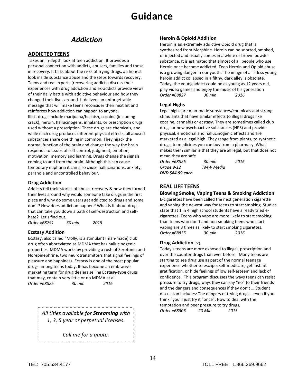### *Addiction*

### **ADDICTED TEENS**

Takes an in-depth look at teen addiction. It provides a personal connection with addicts, abusers, families and those in recovery. It talks about the risks of trying drugs, an honest look inside substance abuse and the steps towards recovery. Teens and real experts (recovering addicts) discuss their experiences with drug addiction and ex-addicts provide views of their daily battle with addictive behaviour and how they changed their lives around. It delivers an unforgettable message that will make teens reconsider their next hit and reinforces how addiction can happen to anyone. Illicit drugs include marijuana/hashish, cocaine (including crack), heroin, hallucinogens, inhalants, or prescription drugs used without a prescription. These drugs are chemicals, and while each drug produces different physical effects, all abused substances share one thing in common. They hijack the normal function of the brain and change the way the brain responds to issues of self-control, judgment, emotion, motivation, memory and learning. Drugs change the signals coming to and from the brain. Although this can cause temporary euphoria it can also cause hallucinations, anxiety, paranoia and uncontrolled behaviour.

### **Drug Addiction**

Addicts tell their stories of abuse, recovery & how they turned their lives around why would someone take drugs in the first place and why do some users get addicted to drugs and some don't? How does addiction happen? What is it about drugs that can take you down a path of self-destruction and selfhate? Let's find out.

*Order #68791 30 min 2015*

### **Ecstasy Addition**

Ecstasy, also called "Molly, is a stimulant (man-made) club drug often abbreviated as MDMA that has hallucinogenic properties. MDMA works by providing a rush of Serotonin and Norepinephrine, two neurotransmitters that signal feelings of pleasure and happiness. Ecstasy is one of the most popular drugs among teens today. It has become an embracive marketing term for drug dealers selling **Ecstasy-type** drugs that may, contain very little or no MDMA at all. *Order #68825 30 min 2016*

> *All titles available for Streaming with 1, 3, 5 year or perpetual licenses.*

*Call me for a quote.*

### **Heroin & Opioid Addition**

Heroin is an extremely addictive Opioid drug that is synthesized from Morphine. Heroin can be snorted, smoked, or injected and usually comes in a white or brown powder substance. It is estimated that almost of all people who use Heroin once become addicted. Teen Heroin and Opioid abuse is a growing danger in our youth. The image of a listless young heroin addict collapsed in a filthy, dark alley is obsolete. Today, the young addict could be as young as 12 years old, play video games and enjoy the music of his generation *Order #68827 30 min 2016*

### **Legal Highs**

Legal highs are man-made substances/chemicals and strong stimulants that have similar effects to illegal drugs like cocaine, cannabis or ecstasy. They are sometimes called club drugs or new psychoactive substances (NPS) and provide physical, emotional and hallucinogenic effects and are marketed as a legal high. They range from plants, to synthetic drugs, to medicines you can buy from a pharmacy. What makes them similar is that they are all legal, but that does not mean they are safe

| <b>TMW Media</b> |      |
|------------------|------|
| 30 min           | 2016 |
|                  |      |

### **REAL LIFE TEENS**

#### **Blowing Smoke, Vaping Teens & Smoking Addiction**

E-cigarettes have been called the next generation cigarette and vaping the newest way for teens to start smoking. Studies state that 1 in 4 high school students have already tried ecigarettes. Teens who vape are more likely to start smoking than teens who don't and non-smoking teens who start vaping are 3 times as likely to start smoking cigarettes. *Order #68855 30 min 2016*

#### **Drug Addiction** (cc)

Today's teens are more exposed to illegal, prescription and over the counter drugs than ever before. Many teens are starting to see drug use as part of the normal teenage experience whether to escape, self-medicate, get instant gratification, or hide feelings of low self-esteem and lack of confidence. This program discusses the ways teens can resist pressure to try drugs, ways they can say "no" to their friends and the dangers and consequences if they don't … Student discussion includes: The dangers of trying drugs – even if you think "you'll just try it "once", How to deal with the temptation and peer pressure to try drugs, *Order #68806 20 Min 2015*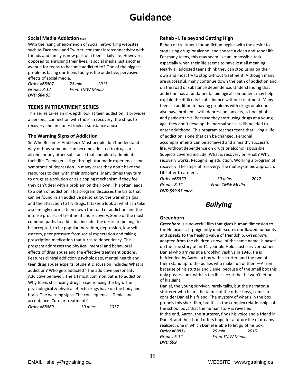### **Social Media Addiction** (cc)

With the rising phenomenon of social networking websites such as Facebook and Twitter, constant interconnectivity with friends and family is now part of a teen's daily life. However as opposed to enriching their lives, is social media just another avenue for teens to become addicted to? One of the biggest problems facing our teens today is the addictive, pervasive effects of social media.

*DVD \$84.95*

*Order #68807 28 min 2015 Grades 8-12 From TMW Media*

### **TEENS IN TREATMENT SERIES**

This series takes an in-depth look at teen addiction. It provides a personal connection with those in recovery, the steps to recovery and an honest look at substance abuse.

### **The Warning Signs of Addiction**

So Who Becomes Addicted? Most people don't understand why or how someone can become addicted to drugs or alcohol or any other substance that completely dominates their life. Teenagers all go through traumatic experiences and symptoms of depression. In many cases they don't have the resources to deal with their problems. Many times they turn to drugs as a solution or as a coping mechanism if they feel they can't deal with a problem on their own. This often leads to a path of addiction. This program discusses the traits that can be found in an addictive personality, the warning signs and the attraction to try drugs. It takes a look at what can take a seemingly normal teen down the road of addiction and the intense process of treatment and recovery. Some of the most common paths to addiction include; the desire to belong, to be accepted, to be popular, boredom, depression, low selfesteem, peer pressure from social expectation and taking prescription medication that turns to dependency. This program addresses the physical, mental and behavioral effects of drug abuse and the effective treatment options. Features clinical addiction psychologists, mental health and teen drug abuse experts. Student Discussion Includes What is addiction? Who gets addicted? The addictive personality. Addictive behavior. The 14 most common paths to addiction. Why teens start using drugs. Experiencing the high. The psychological & physical effects drugs have on the body and brain. The warning signs. The consequences. Denial and acceptance. Cure or treatment?

| Order #68869 | 30 mins | 2017 |
|--------------|---------|------|
|              |         |      |

### **Rehab - Life beyond Getting High**

Rehab or treatment for addiction begins with the desire to stop using drugs or alcohol and choose a clean and sober life. For many teens, this may seem like an impossible task especially when their life seems to have lost all meaning. Nearly all addicted teens think they can stop using on their own and most try to stop without treatment. Although many are successful, many continue down the path of addiction and on the road of substance dependence. Understanding that addiction has a fundamental biological component may help explain the difficulty in abstinence without treatment. Many teens in addition to having problems with drugs or alcohol also have problems with depression, anxiety, school phobia and panic attacks. Because they start using drugs at a young age, they don't develop the normal social skills needed to enter adulthood. This program teaches teens that living a life of addiction is one that can be changed. Personal accomplishments can be achieved and a healthy successful life, without dependence on drugs or alcohol is possible. Subjects covered include: What is recovery or rehab? Why recovery works. Recognizing addiction. Working a program of recovery. The steps of recovery. The multisystemic approach. Life after treatment.

*DVD \$99.95 each*

*Order #68870 30 mins 2017 Grades 8-12 From TMW Media* 

### *Bullying*

### **Greenhorn**

*Greenhorn* is a powerful film that gives human dimension to the Holocaust. It poignantly underscores our flawed humanity and speaks to the healing value of friendship. *Greenhorn*, adapted from the children's novel of the same name, is based on the true story of an 11-year old Holocaust survivor named Daniel who arrives at a Brooklyn yeshiva in 1946. He is befriended by Aaron, a boy with a stutter, and the two of them stand up to the bullies who make fun of them—Aaron because of his stutter and Daniel because of the small box (his only possession), with its terrible secret that he won't let out of his sight.

Daniel, the young survivor, rarely talks, but the narrator, a stutterer who bears the taunts of the other boys, comes to consider Daniel his friend. The mystery of what's in the box propels this short film, but it's in the complex relationships of the school boys that the human story is revealed.

In the end, Aaron, the stutterer, finds his voice and a friend in Daniel, and their bond offers hope for a future life of dreams realized, one in which Daniel is able to let go of his box. *Order #68811 25 min 2015*

*Grades 6-12 From TMW Media DVD \$99*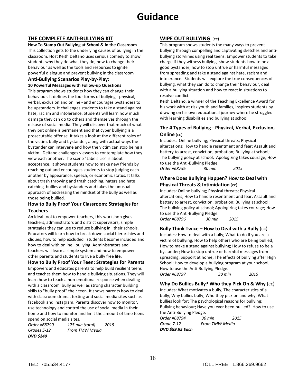### **THE COMPLETE ANTI-BULLYING KIT**

**How To Stamp Out Bullying at School & In the Classroom** This collection gets to the underlying causes of bullying in the classroom. Host Keith Deltano uses serious comedy to show students why they do what they do, how to change their behaviour as well as the tools and resources to ignite powerful dialogue and prevent bullying in the classroom

### **Anti-Bullying Scenarios Play-by-Play: 10 Powerful Messages with Follow-up Questions**

This program shows students how they can change their behaviour. It defines the four forms of bullying - physical, verbal, exclusion and online - and encourages bystanders to be upstanders. It challenges students to take a stand against hate, racism and intolerance. Students will learn how much damage they can do to others and themselves through the misuse of social media. They will discover that much of what they put online is permanent and that cyber bullying is a prosecutable offense. It takes a look at the different roles of the victim, bully and bystander, along with actual ways the bystander can intervene and how the victim can stop being a victim. Deltano challenges viewers to contemplate how they view each another. The scene "Labels Lie" is about acceptance. It shows students how to make new friends by reaching out and encourages students to stop judging each another by appearance, speech, or economic status. It talks about trash throwing and trash catching, haters and hate catching, bullies and bystanders and takes the unusual approach of addressing the mindset of the bully as well as those being bullied.

### **How to Bully Proof Your Classroom: Strategies for Teachers**

An ideal tool to empower teachers, this workshop gives teachers, administrators and district supervisors, simple strategies they can use to reduce bullying in their schools. Educators will learn how to break down social hierarchies and cliques, how to help excluded students become included and how to deal with online bullying. Administrators and teachers will learn a simple system and how to empower other parents and students to live a bully free life.

**How to Bully Proof Your Teen: Strategies for Parents**  Empowers and educates parents to help build resilient teens and teaches them how to handle bullying situations. They will learn how to teach a non-emotional response when dealing with a classroom bully as well as strong character building skills to "bully proof" their teen. It shows parents how to deal with classroom drama, texting and social media sites such as facebook and instagram. Parents discover how to monitor, use technology and control the use of social media in their home and how to monitor and limit the amount of time teens spend on social media sites.

*Order #68790 175 min (total) 2015 Grades 5-12 From TMW Media DVD \$249*

### **WIPE OUT BULLYING** (cc)

This program shows students the many ways to prevent bullying through compelling and captivating sketches and antibullying storylines using real teens. Empower students to take charge if they witness bullying, show students how to be a good bystander, how to stop untrue or harmful messages from spreading and take a stand against hate, racism and intolerance. Students will explore the true consequences of bullying, what they can do to change their behaviour, deal with a bullying situation and how to react in situations to resolve conflict.

Keith Deltano, a winner of the Teaching Excellence Award for his work with at risk youth and families, inspires students by drawing on his own educational journey where he struggled with learning disabilities and bullying at school.

### **The 4 Types of Bullying - Physical, Verbal, Exclusion, Online** (cc)

Includes: Online bullying; Physical threats; Physical altercations; How to handle resentment and fear; Assault and battery to arrest, conviction, probation; Bullying at school; The bullying policy at school; Apologizing takes courage; How to use the Anti-Bullying Pledge.

*Order #68795 30 min 2015*

### **Where Does Bullying Happen? How to Deal with Physical Threats & Intimidation** (cc)

Includes: Online bullying; Physical threats; Physical altercations; How to handle resentment and fear; Assault and battery to arrest, conviction, probation; Bullying at school; The bullying policy at school; Apologizing takes courage; How to use the Anti-Bullying Pledge. *Order #68796 30 min 2015*

### **Bully Think Twice – How to Deal with a Bully** (cc)

Includes: How to deal with a bully; What to do if you are a victim of bullying; How to help others who are being bullied; How to make a stand against bullying; How to refuse to be a bystander; How to stop untrue or harmful messages from spreading; Support at home; The effects of bullying after High School; How to develop a bullying program at your school; How to use the Anti-Bullying Pledge. *Order #68797 30 min 2015*

### **Why Do Bullies Bully? Who they Pick On & Why** (cc)

Includes: What motivates a bully; The characteristics of a bully; Why bullies bully; Who they pick on and why; What bullies look for; The psychological reasons for bullying; Bullying behaviour; Have you ever been bullied? How to use the Anti-Bullying Pledge.

*Order #68794 30 min 2015 Grade 7-12 From TMW Media DVD \$89.95 Each*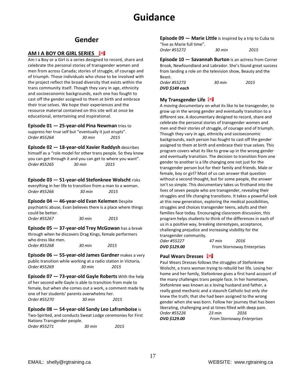### **Gender**

### **AM I A BOY OR GIRL SERIES**

Am I a Boy or a Girl is a series designed to record, share and celebrate the personal stories of transgender women and men from across Canada; stories of struggle, of courage and of triumph. Those individuals who chose to be involved with the project reflect the broad diversity that exists within the trans community itself. Though they vary in age, ethnicity and socioeconomic backgrounds, each one has fought to cast off the gender assigned to them at birth and embrace their true selves. We hope their experiences and the resource material contained on this site will at once be educational, entertaining and inspirational.

**Episode 01 — 25-year-old Pina Newman** tries to suppress her true self but "eventually it just erupts". *Order #55264 30 min 2015*

**Episode 02 — 18-year-old Xavier Raddysh** describes himself as a "role model for other trans people. So they know you can get through it and you can get to where you want". *Order #55265 30 min 2015*

**Episode 03 — 51-year-old Stefonknee Wolscht** risks everything in her life to transition from a man to a woman. *Order #55266 30 min 2015*

**Episode 04 — 46-year-old Evan Kelemen** Despite psychiatric abuse, Evan believes there is a place where things

could be better. *Order #55267 30 min 2015*

**Episode 05 — 37-year-old Trey McGowan** has a break through when he discovers Drag Kings, female performers who dress like men. *Order #55268 30 min 2015*

**Episode 06 — 55-year-old James Gardner** makes a very public transition while working at a radio station in Victoria**.** *Order #55269 30 min 2015*

**Episode 07 — 73-year-old Gayle Roberts** With the help of her second wife Gayle is able to transition from male to female, but when she comes out a work, a comment made by one of her students' parents overwhelms her. *Order #55270 30 min 2015*

**Episode 08 — 54-year-old Sandy Leo Laframboise** is Two-Spirited, and conducts Sweat Lodge ceremonies for First Nations Transgender people.

*Order #55271 30 min 2015* 

**Episode 09 — Marie Little** is inspired by a trip to Cuba to "live as Marie full time". *Order #55272 30 min 2015*

**Episode 10 — Savannah Burton** is an actress from Corner Brook, Newfoundland and Labrador. She's found great success from landing a role on the television show, Beauty and the Beast.

| Order #55273   | 30 min | 2015 |
|----------------|--------|------|
| DVD \$149 each |        |      |

### **My Transgender Life**

A moving documentary on what its like to be transgender, to grow up in the wrong gender and eventually transition to a different sex. A documentary designed to record, share and celebrate the personal stories of transgender women and men and their stories of struggle, of courage and of triumph. Though they vary in age, ethnicity and socioeconomic backgrounds, each person has fought to cast off the gender assigned to them at birth and embrace their true selves. This program covers what its like to grow up in the wrong gender and eventually transition. The decision to transition from one gender to another is a life changing one not just for the transgender person but for their family and friends. Male or female, boy or girl? Most of us can answer that question without a second thought, but for some people, the answer isn't so simple. This documentary takes us firsthand into the lives of seven people who are transgender, revealing their struggles and life changing transitions. It takes a powerful look at this new generation, exploring the medical possibilities, struggles and choices transgender teens, adults and their families face today. Encouraging classroom discussion, this program helps students to think of the differences in each of us in a positive way, breaking stereotypes, acceptance, challenging prejudice and increasing visibility for the transgender community.

*Oder #55227 47 min 2016 DVD \$129.00* From Stornoway Enterprises

### **Paul Wears Dresses**

Paul Wears Dresses follows the struggles of Stefonknee Wolscht, a trans woman trying to rebuild her life. Losing her home and her family, Stefonknee gives a first hand account of the many challenges trans people face. In her hometown, Stefonknee was known as a loving husband and father, a really good mechanic and a staunch Catholic but only she knew the truth; that she had been assigned to the wrong gender when she was born. Follow her journey that has been liberating, challenging and at times filled with deep pain. *Order #55226 23 min 2016*

*DVD \$129.00 From Stornoway Enterprises*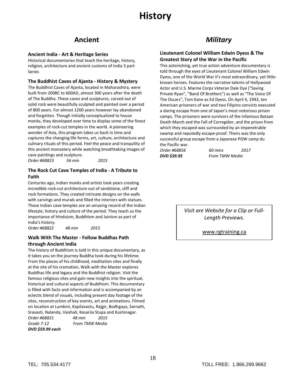### **Ancient**

### **Ancient India - Art & Heritage Series**

Historical documentaries that teach the heritage, history, religion, architecture and ancient customs of India 3 part Series

### **The Buddhist Caves of Ajanta - History & Mystery**

The Buddhist Caves of Ajanta, located in Maharashtra, were built from 200BC to 600AD, almost 300 years after the death of The Buddha. These caves and sculptures, carved out of solid rock were beautifully sculpted and painted over a period of 800 years. For almost 1200 years however lay abandoned and forgotten. Though initially conceptualized to house monks, they developed over time to display some of the finest examples of rock-cut temples in the world. A pioneering wonder of Asia, this program takes us back in time and captures the changing life forms, art, culture, architecture and culinary rituals of this period. Feel the peace and tranquility of this ancient monastery while watching breathtaking images of cave paintings and sculpture.

*Order #68823 56 min 2015*

### **The Rock Cut Cave Temples of India - A Tribute to Faith**

Centuries ago, Indian monks and artists took years creating incredible rock-cut architecture out of sandstone, cliff and rock formations. They created intricate designs on the walls with carvings and murals and filled the interiors with statues. These Indian cave temples are an amazing record of the Indian lifestyle, history and culture of the period. They teach us the importance of Hinduism, Buddhism and Jainism as part of India's history.

*Order #68822 48 min 2015*

### **Walk With The Master - Follow Buddhas Path through Ancient India**

The history of Buddhism is told in this unique documentary, as it takes you on the journey Buddha took during his lifetime. From the places of his childhood, meditation sites and finally at the site of his cremation, Walk with the Master explores Buddhas life and legacy and the Buddhist religion. Visit the famous religious sites and gain new insights into the spiritual, historical and cultural aspects of Buddhism. This documentary is filled with facts and information and is accompanied by an eclectic blend of visuals, including present day footage of the sites, reconstruction of key events, art and animations. Filmed on location at Lumbini, Kapilavastu, Rajgir, Bodhgaya, Sarnath, Sravasti, Nalanda, Vaishali, Kesariia Stupa and Kushinagar.

*Order #68821 48 min 2015 Grade 7-12 From TMW Media DVD \$59.99 each*

### *Military*

### **Lieutenant Colonel William Edwin Dyess & The Greatest Story of the War in the Pacific**

This astonishing, yet true action adventure documentary is told through the eyes of Lieutenant Colonel William Edwin Dyess, one of the World War II's most extraordinary, yet littleknown heroes. Features the narrative talents of Hollywood Actor and U.S. Marine Corps Veteran Dale Dye ("Saving Private Ryan", "Band Of Brothers") as well as "The Voice Of The Oscars", Tom Kane as Ed Dyess. On April 4, 1943, ten American prisoners of war and two Filipino convicts executed a daring escape from one of Japan's most notorious prison camps. The prisoners were survivors of the infamous Bataan Death March and the Fall of Corregidor, and the prison from which they escaped was surrounded by an impenetrable swamp and reputedly escape-proof. Theirs was the only successful group escape from a Japanese POW camp du the Pacific war.

*Order #68856 60 mins 2017 DVD \$39.95 From TMW Media*

> *Visit are Website for a Clip or Full-Length Previews.*

> > [www.rgtraining.ca](http://www.rgtraining.ca/)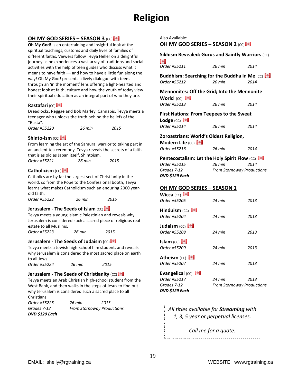# **Religion**

### **OH MY GOD SERIES – SEASON 3** (CC)

**Oh My God!** Is an entertaining and insightful look at the spiritual teachings, customs and daily lives of families of different faiths. Viewers follow Tevya Heller on a delightful journey as he experiences a vast array of traditions and social activities with the help of teen guides who discuss what it means to have faith –– and how to have a little fun along the way! Oh My God! presents a lively dialogue with teens through an 'in the moment' lens offering a light-hearted and honest look at faith, culture and how the youth of today view their spiritual education as an integral part of who they are.

### **Rastafari** (CC)

Dreadlocks. Reggae and Bob Marley. Cannabis. Tevya meets a teenager who unlocks the truth behind the beliefs of the "Rasta".

|  | Order #55220 | 26 min | 2015 |
|--|--------------|--------|------|
|--|--------------|--------|------|

### **Shinto-ism** (CC)

From learning the art of the Samurai warrior to taking part in an ancient tea ceremony, Tevya reveals the secrets of a faith that is as old as Japan itself, Shintoism.

| Order #55221 | 26 min | 2015 |
|--------------|--------|------|
|              |        |      |

### **Catholicism** (CC)

Catholics are by far the largest sect of Christianity in the world, so from the Pope to the Confessional booth, Tevya learns what makes Catholicism such an enduring 2000 yearold faith.

| Order #55222 | 26 min | 2015 |
|--------------|--------|------|
|              |        |      |

### **Jerusalem - The Seeds of Islam** (CC) **.**

Tevya meets a young Islamic Palestinian and reveals why Jerusalem is considered such a sacred piece of religious real estate to all Muslims.

*Order #55223 26 min 2015*

### **Jerusalem - The Seeds of Judaism (CC)**

Tevya meets a Jewish high-school film student, and reveals why Jerusalem is considered the most sacred place on earth to all Jews.

*Order #55224 26 min 2015*

### **Jerusalem - The Seeds of Christianity** (CC)

Tevya meets an Arab Christian high-school student from the West Bank, and then walks in the steps of Jesus to find out why Jerusalem is considered such a sacred place to all Christians.

| Order #55225   | 26 min                            | 2015 |
|----------------|-----------------------------------|------|
| Grades 7-12    | <b>From Stornoway Productions</b> |      |
| DVD \$129 Each |                                   |      |

Also Available:

**OH MY GOD SERIES – SEASON 2** (CC)

**Sikhism Revealed: Gurus and Saintly Warriors (CC)** 

| ы                                                                 |          |                                   |
|-------------------------------------------------------------------|----------|-----------------------------------|
| Order #55211                                                      | 26 min   | 2014                              |
| Buddhism: Searching for the Buddha in Me (CC) <b>To a</b>         |          |                                   |
| Order #55212                                                      | $26$ min | 2014                              |
| <b>Mennonites: Off the Grid; Into the Mennonite</b><br>World (CC) |          |                                   |
| Order #55213                                                      | $26$ min | 2014                              |
| <b>First Nations: From Teepees to the Sweat</b><br>Lodge $(cc)$   |          |                                   |
| Order #55214                                                      | $26$ min | 2014                              |
| Zoroastrians: World's Oldest Religion,                            |          |                                   |
| Modern Life (CC)                                                  |          |                                   |
| Order #55216                                                      | 26 min   | 2014                              |
| <b>Pentecostalism: Let the Holy Spirit Flow (CC)</b>              |          |                                   |
| Order #55215                                                      | 26 min   | 2014                              |
| Grades 7-12                                                       |          | <b>From Stornoway Productions</b> |
| DVD \$129 Each                                                    |          |                                   |
| <u> OH MY GOD SERIES – SEASON 1</u>                               |          |                                   |
| Wicca $(cc)$                                                      |          |                                   |
| Order #55205                                                      | $24$ min | 2013                              |
| <b>Hinduism</b> (CC) $\blacksquare$                               |          |                                   |
| Order #55204                                                      | $24$ min | 2013                              |
| Judaism (CC)                                                      |          |                                   |
| Order #55208                                                      | $24$ min | 2013                              |
| Islam (cc) $\blacksquare$                                         |          |                                   |
| Order #55209                                                      | $24$ min | 2013                              |
| <b>Atheism</b> (CC) <b>4</b>                                      |          |                                   |
| Order #55207                                                      | $24$ min | 2013                              |
| <b>Evangelical (CC)</b>                                           |          |                                   |
| Order #55217                                                      | 24 min   | 2013                              |
| Grades 7-12                                                       |          | <b>From Stornoway Productions</b> |
| DVD \$129 Each                                                    |          |                                   |

*All titles available for Streaming with 1, 3, 5 year or perpetual licenses.*

*Call me for a quote.*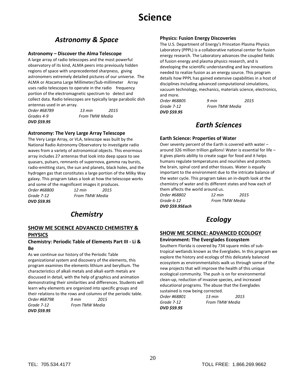# *Astronomy & Space*

### **Astronomy – Discover the Alma Telescope**

A large array of radio telescopes and the most powerful observatory of its kind, ALMA peers into previously hidden regions of space with unprecedented sharpness, giving astronomers extremely detailed pictures of our universe. The ALMA or Atacama Large Millimeter/Sub-millimeter Array uses radio telescopes to operate in the radio frequency portion of the electromagnetic spectrum to detect and collect data. Radio telescopes are typically large parabolic dish antennas used in an array.

*DVD \$59.95* 

*Order #68789 13 min 2015 Grades 4-9 From TMW Media*

### **Astronomy: The Very Large Array Telescope**

The Very Large Array, or VLA, telescope was built by the National Radio Astronomy Observatory to investigate radio waves from a variety of astronomical objects. This enormous array includes 27 antennas that look into deep space to see quasars, pulsars, remnants of supernova, gamma ray bursts, radio-emitting stars, the sun and planets, black holes, and the hydrogen gas that constitutes a large portion of the Milky Way galaxy. This program takes a look at how the telescope works and some of the magnificent images it produces.

*Order #68800 12 min 2015 Grade 7-12 From TMW Media DVD \$59.95*

# *Chemistry*

### **SHOW ME SCIENCE ADVANCED CHEMISTRY & PHYSICS**

### **Chemistry: Periodic Table of Elements Part III - Li & Be**

As we continue our history of the Periodic Table organizational system and discovery of the elements, this program examines the elements lithium and beryllium. The characteristics of alkali metals and alkali earth metals are discussed in detail, with the help of graphics and animation demonstrating their similarities and differences. Students will learn why elements are organized into specific groups and their relations to the rows and columns of the periodic table.

*Order #68798 9 min 2015 Grade 7-12 From TMW Media DVD \$59.95*

### **Physics: Fusion Energy Discoveries**

The U.S. Department of Energy's Princeton Plasma Physics Laboratory (PPPL) is a collaborative national center for fusion energy research. The Laboratory advances the coupled fields of fusion energy and plasma physics research, and is developing the scientific understanding and key innovations needed to realize fusion as an energy source. This program details how PPPL has gained extensive capabilities in a host of disciplines including advanced computational simulations, vacuum technology, mechanics, materials science, electronics, and more.

*Grade 7-12 From TMW Media DVD \$59.95*

*Order #68805 9 min 2015* 

### *Earth Sciences*

### **Earth Science: Properties of Water**

Over seventy percent of the Earth is covered with water – around 326 million trillion gallons! Water is essential for life – it gives plants ability to create sugar for food and it helps humans regulate temperatures and nourishes and protects the brain, spinal cord and other tissues. Water is equally important to the environment due to the intricate balance of the water cycle. This program takes an in-depth look at the chemistry of water and its different states and how each of them affects the world around us.

*DVD \$59.95Each*

*Order #68802 12 min 2015 Grade 6-12 From TMW Media*

## *Ecology*

### **SHOW ME SCIENCE: ADVANCED ECOLOGY**

### **Environment: The Everglades Ecosystem**

Southern Florida is covered by 734 square miles of subtropical wetlands known as the Everglades. In this program we explore the history and ecology of this delicately balanced ecosystem as environmentalists walk us through some of the new projects that will improve the health of this unique ecological community. The push is on for environmental clean-up, reduction of invasive species, and increased educational programs. The abuse that the Everglades sustained is now being corrected.

*Order #68801 13 min 2015 Grade 7-12 From TMW Media DVD \$59.95*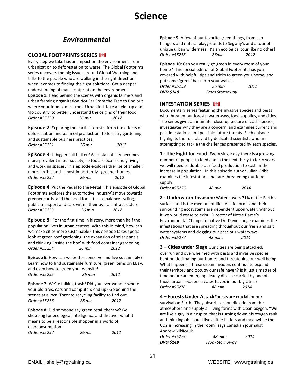# **Science**

# *Environmental*

### **GLOBAL FOOTPRINTS SERIES**

Every step we take has an impact on the environment from urbanization to deforestation to waste. The Global Footprints series uncovers the big issues around Global Warming and talks to the people who are walking in the right direction when it comes to finding the right solutions. Get a deeper understanding of mans footprint on the environment. **Episode 1:** Head behind the scenes with organic farmers and urban farming organization Not Far From the Tree to find out where your food comes from. Urban folk take a field trip and 'go country' to better understand the origins of their food. *Order #55250 26 min 2012*

**Episode 2:** Exploring the earth's forests, from the effects of deforestation and palm oil production, to forestry gardening and sustainable business practices. *Order #55251 26 min 2012*

**Episode 3:** Is bigger still better? As sustainability becomes more prevalent in our society, so too are eco friendly living and working spaces. This episode explores the rise of smaller, more flexible and – most importantly - greener homes. *Order #55252 26 min 2012*

**Episode 4:** Put the Pedal to the Metal! This episode of Global Footprints explores the automotive industry's move towards greener cards, and the need for cuties to balance cycling, public transport and cars within their overall infrastructure. *Order #55253 26 min 2012*

**Episode 5:** For the first time in history, more than half the population lives in urban centers. With this in mind, how can we make cities more sustainable? This episode takes special look at green roof gardening, the expansion of solar panels, and thinking 'inside the box' with food container gardening. *Order #55254 26 min 2012*

**Episode 6:** How can we better conserve and live sustainably? Learn how to find sustainable furniture, green items on EBay, and even how to green your website! *Order #55255 26 min 2012*

**Episode 7**: We're talking trash! Did you ever wonder where your old tires, cars and computers end up? Go behind the scenes at a local Toronto recycling facility to find out. *Order #55256 26 min 2012*

**Episode 8**: Did someone say green retail therapy**?** Go shopping for ecological intelligence and discover what it means to be a responsible shopper in a world of overconsumption.

| Order #55257 | 26 min | 2012 |
|--------------|--------|------|
|              |        |      |

**Episode 9:** A few of our favorite green things, from eco hangers and natural playgrounds to Segway's and a tour of a unique urban wilderness. It's an ecological tour like no other! *Order #55258 26min 2012* 

**Episode 10:** Can you really go green in every room of your home? This special edition of Global Footprints has you covered with helpful tips and tricks to green your home, and put some 'green' back into your wallet. *Order #55259 26 min 2012 DVD \$149 From Stornoway* 

### **INFESTATION SERIES**

Documentary series featuring the invasive species and pests who threaten our forests, waterways, food supplies, and cities. The series gives an intimate, close-up picture of each species, investigates why they are a concern, and examines current and past infestations and possible future threats. Each episode highlights the role played by dedicated scientists who are attempting to tackle the challenges presented by each species.

**1 - The Fight for Food:** Every single day there is a growing number of people to feed and in the next thirty to forty years we will need to double our food production to sustain the increase in population. In this episode author Julian Cribb examines the infestations that are threatening our food supply.

*Order #55276 48 min 2014* 

**2 - Underwater Invasion:** Water covers 71% of the Earth's surface and is the medium of life. All life forms and their surrounding ecosystems are dependent upon water, without it we would cease to exist. Director of Notre Dame's Environmental Change Initiative Dr. David Lodge examines the infestations that are spreading throughout our fresh and salt water systems and clogging our precious waterways. *Order #55277 48 mins 2014*

**3 – Cities under Siege** Our cities are being attacked, overrun and overwhelmed with pests and invasive species bent on decimating our homes and threatening our well being. What happens if these urban invaders continue to expand their territory and occupy our safe haven? Is it just a matter of time before an emerging deadly disease carried by one of those urban invaders creates havoc in our big cities? *Order #55278 48 min 2014*

**4 – Forests Under Attack**Forests are crucial for our survival on Earth. They absorb carbon dioxide from the atmosphere and supply all living forms with clean oxygen. "We are like a guy in a hospital that is turning down his oxygen tank and thinking oh I could live a little bit less and meanwhile the CO2 is increasing in the room" says Canadian journalist Andrew Nikiforuk.

*Order #55279 48 mins 2014 DVD \$149 From Stornoway*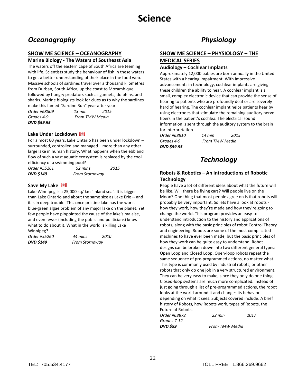### *Oceanography*

### **SHOW ME SCIENCE – OCEANOGRAPHY**

### **Marine Biology - The Waters of Southeast Asia**

The waters off the eastern cape of South Africa are teeming with life. Scientists study the behaviour of fish in these waters to get a better understanding of their place in the food web. Massive schools of sardines travel over a thousand kilometres from Durban, South Africa, up the coast to Mozambique followed by hungry predators such as gannets, dolphins, and sharks. Marine biologists look for clues as to why the sardines make this famed "Sardine Run" year after year.

*Order #68809 13 min 2015 Grades 4-9 From TMW Media DVD \$59.95*

**Lake Under Lockdown** 

For almost 60 years, Lake Ontario has been under lockdown – surrounded, controlled and managed – more than any other large lake in human history. What happens when the ebb and flow of such a vast aquatic ecosystem is replaced by the cool efficiency of a swimming pool?

*Order #55261 52 mins 2015 DVD \$149 From Stornoway*

### **Save My Lake**

Lake Winnipeg is a 25,000 sq/ km "inland sea". It is bigger than Lake Ontario and about the same size as Lake Erie -- and it is in deep trouble. This once pristine lake has the worst blue-green algae problem of any major lake on the planet. Yet few people have pinpointed the cause of the lake's malaise, and even fewer (including the public and politicians) know what to do about it. What in the world is killing Lake Winnipeg?

| Order #55260 | 44 mins               | 2010 |
|--------------|-----------------------|------|
| DVD \$149    | <b>From Stornoway</b> |      |

### *Physiology*

### **SHOW ME SCIENCE – PHYSIOLOGY – THE MEDICAL SERIES**

### **Audiology – Cochlear Implants**

Approximately 12,000 babies are born annually in the United States with a hearing impairment. With impressive advancements in technology, cochlear implants are giving these children the ability to hear. A cochlear implant is a small, complex electronic device that can provide the sense of hearing to patients who are profoundly deaf or are severely hard of hearing. The cochlear implant helps patients hear by using electrodes that stimulate the remaining auditory nerve fibers in the patient's cochlea. The electrical sound information is sent through the auditory system to the brain for interpretation.

*DVD \$59.95*

*Order #68810 14 min 2015 Grades 4-9 From TMW Media*

### *Technology*

### **Robots & Robotics – An Introductions of Robotic Technology**

People have a lot of different ideas about what the future will be like. Will there be flying cars? Will people live on the Moon? One thing that most people agree on is that robots will probably be very important. So lets have a look at robots how they work, how they're made and how they're going to change the world. This program provides an easy-tounderstand introduction to the history and applications of robots, along with the basic principles of robot Control Theory and engineering. Robots are some of the most complicated machines to have ever been made, but the basic principles of how they work can be quite easy to understand. Robot designs can be broken down into two different general types: Open Loop and Closed Loop. Open-loop robots repeat the same sequence of pre-programmed actions, no matter what. This type is commonly used by industrial robots, or other robots that only do one job in a very structured environment. They can be very easy to make, since they only do one thing. Closed-loop systems are much more complicated. Instead of just going through a list of pre-programmed actions, the robot looks at the world around it and changes its behavior depending on what it sees. Subjects covered include: A brief history of Robots, how Robots work, types of Robots, the Future of Robots.

| Order #68872    | 22 min         | 2017 |
|-----------------|----------------|------|
| Grades 7-12     |                |      |
| <b>DVD \$59</b> | From TMW Media |      |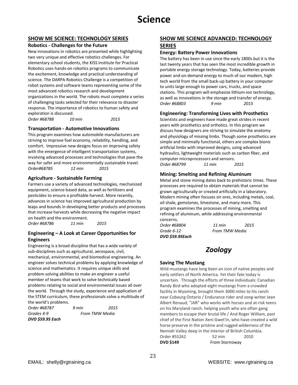# **Science**

### **SHOW ME SCIENCE: TECHNOLOGY SERIES**

### **Robotics - Challenges for the Future**

New innovations in robotics are presented while highlighting two very unique and effective robotics challenges. For elementary school students, the KISS Institute for Practical Robotics uses hands-on robotics programs to communicate the excitement, knowledge and practical understanding of science. The DARPA Robotics Challenge is a competition of robot systems and software teams representing some of the most advanced robotics research and development organizations in the world. The robots must complete a series of challenging tasks selected for their relevance to disaster response. The importance of robotics to human safety and exploration is discussed.

*Order #68788 10 min 2015*

### **Transportation - Automotive Innovations**

This program examines how automobile manufacturers are striving to improve fuel economy, reliability, handling, and comfort. Impressive new designs focus on improving safety with the emergence of intelligent transportation systems, involving advanced processes and technologies that pave the way for safer and more environmentally sustainable travel. *Order#68785 12 min 2015*

### **Agriculture - Sustainable Farming**

Farmers use a variety of advanced technologies, mechanized equipment, science based data, as well as fertilizers and pesticides to ensure a profitable harvest. More recently, advances in science has improved agricultural production by leaps and bounds in developing better products and processes that increase harvests while decreasing the negative impact on health and the environment. *Order #68786 11 min 2015*

### **Engineering – A Look at Career Opportunities for Engineers**

Engineering is a broad discipline that has a wide variety of sub-disciplines such as agricultural, aerospace, civil, mechanical, environmental, and biomedical engineering. An engineer solves technical problems by applying knowledge of science and mathematics. It requires unique skills and problem-solving abilities to make an engineer a useful member of teams that work to solve technically based problems relating to social and environmental issues all over the world. Through the study, experience and application of the STEM curriculum, these professionals solve a multitude of the world's problems.

| Order #68787     | 9 min | 2015           |
|------------------|-------|----------------|
| Grades 4-9       |       | From TMW Media |
| DVD \$59.95 Each |       |                |

### **SHOW ME SCIENCE ADVANCED: TECHNOLOGY SERIES**

### **Energy: Battery Power Innovations**

The battery has been in use since the early 1800s but it is the last twenty years that has seen the most incredible growth in portable energy storage technology. Today, batteries provide power and on-demand energy to much of our modern, high tech world from the small back-up battery in your computer to units large enough to power cars, trucks, and space stations. This program will emphasize lithium-ion technology, as well as innovations in the storage and transfer of energy. *Order #68803 9 min 2015* 

### **Engineering: Transforming Lives with Prosthetics**

Scientists and engineers have made great strides in recent years with prosthetics and orthotics. In this program we discuss how designers are striving to simulate the anatomy and physiology of missing limbs. Though some prosthetics are simple and minimally functional, others are complex bionic artificial limbs with improved designs, using advanced hydraulics, lightweight materials such as carbon fiber, and computer microprocessors and sensors. *Order #68799 11 min 2015* 

### **Mining: Smelting and Refining Aluminum**

Metal and stone mining dates back to prehistoric times. These processes are required to obtain materials that cannot be grown agriculturally or created artificially in a laboratory. Modern mining often focuses on ores, including metals, coal, oil shale, gemstones, limestone, and many more. This program examines the processes of mining, smelting and refining of aluminum, while addressing environmental concerns.

*Order #68804 11 min 2015 Grade 6-12 From TMW Media DVD \$59.95Each*

### *Zoology*

### **Saving The Mustang**

Wild mustangs have long been an icon of native peoples and early settlers of North America. Yet their fate today is uncertain. Through the efforts of three individuals: Canadian Randy Bird who adopted eight mustangs from a crowded facility in Wyoming, brought them 3000 miles to his ranch near Cobourg Ontario / Endurance rider and song-writer Jean Albert Renaud, "JAR" who works with horses and at-risk teens on his Maryland ranch. helping youth who are often gang members to escape their brutal life / And Roger William, past chief of the First Nation Xeni Gwet'in, who have created a wild horse preserve in the pristine and rugged wilderness of the Nemiah Valley deep in the interior of British Columbia. Order #55262 52 min 2010 **DVD \$149 From Stornoway**